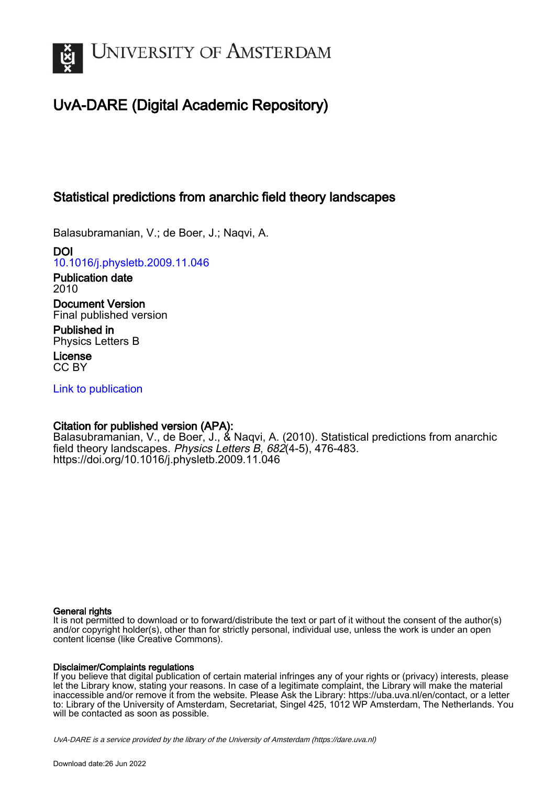

# UvA-DARE (Digital Academic Repository)

# Statistical predictions from anarchic field theory landscapes

Balasubramanian, V.; de Boer, J.; Naqvi, A.

DOI [10.1016/j.physletb.2009.11.046](https://doi.org/10.1016/j.physletb.2009.11.046)

Publication date 2010

Document Version Final published version

Published in Physics Letters B

License CC BY

[Link to publication](https://dare.uva.nl/personal/pure/en/publications/statistical-predictions-from-anarchic-field-theory-landscapes(1211168b-1203-46d4-bf24-8bdf58800059).html)

## Citation for published version (APA):

Balasubramanian, V., de Boer, J., & Naqvi, A. (2010). Statistical predictions from anarchic field theory landscapes. Physics Letters B, 682(4-5), 476-483. <https://doi.org/10.1016/j.physletb.2009.11.046>

### General rights

It is not permitted to download or to forward/distribute the text or part of it without the consent of the author(s) and/or copyright holder(s), other than for strictly personal, individual use, unless the work is under an open content license (like Creative Commons).

### Disclaimer/Complaints regulations

If you believe that digital publication of certain material infringes any of your rights or (privacy) interests, please let the Library know, stating your reasons. In case of a legitimate complaint, the Library will make the material inaccessible and/or remove it from the website. Please Ask the Library: https://uba.uva.nl/en/contact, or a letter to: Library of the University of Amsterdam, Secretariat, Singel 425, 1012 WP Amsterdam, The Netherlands. You will be contacted as soon as possible.

UvA-DARE is a service provided by the library of the University of Amsterdam (http*s*://dare.uva.nl)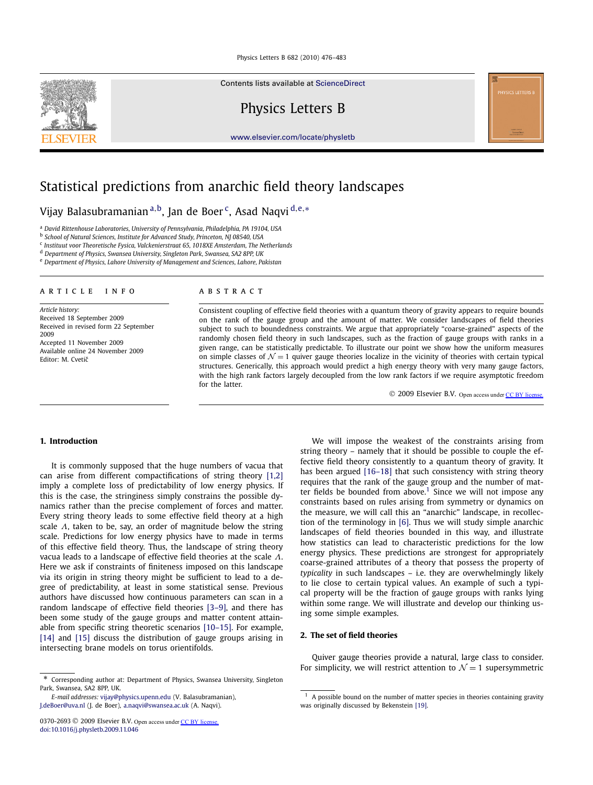Contents lists available at [ScienceDirect](http://www.ScienceDirect.com/)

Physics Letters B

[www.elsevier.com/locate/physletb](http://www.elsevier.com/locate/physletb)

# Statistical predictions from anarchic field theory landscapes

Vijay Balasubramanian <sup>a</sup>*,*b, Jan de Boer c, Asad Naqvi <sup>d</sup>*,*e*,*<sup>∗</sup>

<sup>a</sup> *David Rittenhouse Laboratories, University of Pennsylvania, Philadelphia, PA 19104, USA*

<sup>b</sup> *School of Natural Sciences, Institute for Advanced Study, Princeton, NJ 08540, USA*

<sup>c</sup> *Instituut voor Theoretische Fysica, Valckenierstraat 65, 1018XE Amsterdam, The Netherlands*

<sup>d</sup> *Department of Physics, Swansea University, Singleton Park, Swansea, SA2 8PP, UK*

<sup>e</sup> *Department of Physics, Lahore University of Management and Sciences, Lahore, Pakistan*

#### article info abstract

*Article history:* Received 18 September 2009 Received in revised form 22 September 2009 Accepted 11 November 2009 Available online 24 November 2009 Editor: M. Cvetič

Consistent coupling of effective field theories with a quantum theory of gravity appears to require bounds on the rank of the gauge group and the amount of matter. We consider landscapes of field theories subject to such to boundedness constraints. We argue that appropriately "coarse-grained" aspects of the randomly chosen field theory in such landscapes, such as the fraction of gauge groups with ranks in a given range, can be statistically predictable. To illustrate our point we show how the uniform measures on simple classes of  $\mathcal{N} = 1$  quiver gauge theories localize in the vicinity of theories with certain typical structures. Generically, this approach would predict a high energy theory with very many gauge factors, with the high rank factors largely decoupled from the low rank factors if we require asymptotic freedom for the latter.

© 2009 Elsevier B.V. Open access under [CC BY license.](http://creativecommons.org/licenses/by/3.0/)

**IYSICS LETTERS** 

#### **1. Introduction**

It is commonly supposed that the huge numbers of vacua that can arise from different compactifications of string theory [\[1,2\]](#page-8-0) imply a complete loss of predictability of low energy physics. If this is the case, the stringiness simply constrains the possible dynamics rather than the precise complement of forces and matter. Every string theory leads to some effective field theory at a high scale *Λ*, taken to be, say, an order of magnitude below the string scale. Predictions for low energy physics have to made in terms of this effective field theory. Thus, the landscape of string theory vacua leads to a landscape of effective field theories at the scale *Λ*. Here we ask if constraints of finiteness imposed on this landscape via its origin in string theory might be sufficient to lead to a degree of predictability, at least in some statistical sense. Previous authors have discussed how continuous parameters can scan in a random landscape of effective field theories [\[3–9\],](#page-8-0) and there has been some study of the gauge groups and matter content attainable from specific string theoretic scenarios [\[10–15\].](#page-8-0) For example, [\[14\]](#page-8-0) and [\[15\]](#page-8-0) discuss the distribution of gauge groups arising in intersecting brane models on torus orientifolds.

*E-mail addresses:* [vijay@physics.upenn.edu](mailto:vijay@physics.upenn.edu) (V. Balasubramanian), [J.deBoer@uva.nl](mailto:J.deBoer@uva.nl) (J. de Boer), [a.naqvi@swansea.ac.uk](mailto:a.naqvi@swansea.ac.uk) (A. Naqvi).

We will impose the weakest of the constraints arising from string theory – namely that it should be possible to couple the effective field theory consistently to a quantum theory of gravity. It has been argued [\[16–18\]](#page-8-0) that such consistency with string theory requires that the rank of the gauge group and the number of matter fields be bounded from above.<sup>1</sup> Since we will not impose any constraints based on rules arising from symmetry or dynamics on the measure, we will call this an "anarchic" landscape, in recollection of the terminology in [\[6\].](#page-8-0) Thus we will study simple anarchic landscapes of field theories bounded in this way, and illustrate how statistics can lead to characteristic predictions for the low energy physics. These predictions are strongest for appropriately coarse-grained attributes of a theory that possess the property of *typicality* in such landscapes – i.e. they are overwhelmingly likely to lie close to certain typical values. An example of such a typical property will be the fraction of gauge groups with ranks lying within some range. We will illustrate and develop our thinking using some simple examples.

#### **2. The set of field theories**

Quiver gauge theories provide a natural, large class to consider. For simplicity, we will restrict attention to  $\mathcal{N}=1$  supersymmetric



Corresponding author at: Department of Physics, Swansea University, Singleton Park, Swansea, SA2 8PP, UK.

 $1$  A possible bound on the number of matter species in theories containing gravity was originally discussed by Bekenstein [\[19\].](#page-8-0)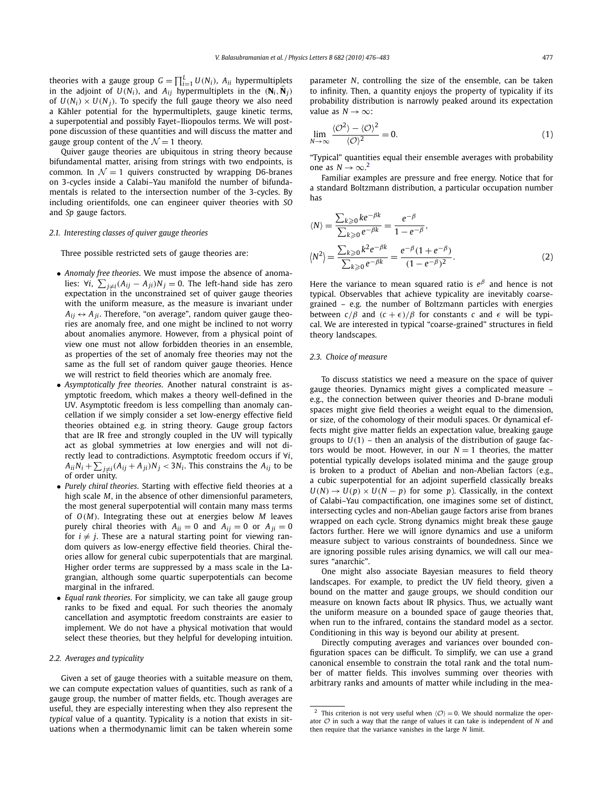<span id="page-2-0"></span>theories with a gauge group  $G = \prod_{i=1}^{L} U(N_i)$ ,  $A_{ii}$  hypermultiplets in the adjoint of  $U(N_i)$ , and  $A_{ij}$  hypermultiplets in the  $(\mathbf{N}_i, \bar{\mathbf{N}}_j)$ of  $U(N_i) \times U(N_j)$ . To specify the full gauge theory we also need a Kähler potential for the hypermultiplets, gauge kinetic terms, a superpotential and possibly Fayet–Iliopoulos terms. We will postpone discussion of these quantities and will discuss the matter and gauge group content of the  $\mathcal{N}=1$  theory.

Quiver gauge theories are ubiquitous in string theory because bifundamental matter, arising from strings with two endpoints, is common. In  $\mathcal{N} = 1$  quivers constructed by wrapping D6-branes on 3-cycles inside a Calabi–Yau manifold the number of bifundamentals is related to the intersection number of the 3-cycles. By including orientifolds, one can engineer quiver theories with *SO* and *Sp* gauge factors.

#### *2.1. Interesting classes of quiver gauge theories*

Three possible restricted sets of gauge theories are:

- *Anomaly free theories*. We must impose the absence of anomalies: ∀*i*,  $\sum_{j\neq i} (A_{ij} - A_{ji})N_j = 0$ . The left-hand side has zero expectation in the unconstrained set of quiver gauge theories with the uniform measure, as the measure is invariant under  $A_{ij} \leftrightarrow A_{ji}$ . Therefore, "on average", random quiver gauge theories are anomaly free, and one might be inclined to not worry about anomalies anymore. However, from a physical point of view one must not allow forbidden theories in an ensemble, as properties of the set of anomaly free theories may not the same as the full set of random quiver gauge theories. Hence we will restrict to field theories which are anomaly free.
- *Asymptotically free theories*. Another natural constraint is asymptotic freedom, which makes a theory well-defined in the UV. Asymptotic freedom is less compelling than anomaly cancellation if we simply consider a set low-energy effective field theories obtained e.g. in string theory. Gauge group factors that are IR free and strongly coupled in the UV will typically act as global symmetries at low energies and will not directly lead to contradictions. Asymptotic freedom occurs if ∀*i*,  $A_{ii}N_i + \sum_{j\neq i}(A_{ij} + A_{ji})N_j < 3N_i$ . This constrains the  $A_{ij}$  to be of order unity.
- *Purely chiral theories*. Starting with effective field theories at a high scale *M*, in the absence of other dimensionful parameters, the most general superpotential will contain many mass terms of *O(M)*. Integrating these out at energies below *M* leaves purely chiral theories with  $A_{ii} = 0$  and  $A_{ij} = 0$  or  $A_{ji} = 0$ for  $i \neq j$ . These are a natural starting point for viewing random quivers as low-energy effective field theories. Chiral theories allow for general cubic superpotentials that are marginal. Higher order terms are suppressed by a mass scale in the Lagrangian, although some quartic superpotentials can become marginal in the infrared.
- *Equal rank theories*. For simplicity, we can take all gauge group ranks to be fixed and equal. For such theories the anomaly cancellation and asymptotic freedom constraints are easier to implement. We do not have a physical motivation that would select these theories, but they helpful for developing intuition.

#### *2.2. Averages and typicality*

Given a set of gauge theories with a suitable measure on them, we can compute expectation values of quantities, such as rank of a gauge group, the number of matter fields, etc. Though averages are useful, they are especially interesting when they also represent the *typical* value of a quantity. Typicality is a notion that exists in situations when a thermodynamic limit can be taken wherein some parameter *N*, controlling the size of the ensemble, can be taken to infinity. Then, a quantity enjoys the property of typicality if its probability distribution is narrowly peaked around its expectation value as  $N \rightarrow \infty$ :

$$
\lim_{N \to \infty} \frac{\langle \mathcal{O}^2 \rangle - \langle \mathcal{O} \rangle^2}{\langle \mathcal{O} \rangle^2} = 0. \tag{1}
$$

"Typical" quantities equal their ensemble averages with probability one as  $N \to \infty$ .<sup>2</sup>

Familiar examples are pressure and free energy. Notice that for a standard Boltzmann distribution, a particular occupation number has

$$
\langle N \rangle = \frac{\sum_{k \ge 0} k e^{-\beta k}}{\sum_{k \ge 0} e^{-\beta k}} = \frac{e^{-\beta}}{1 - e^{-\beta}},
$$
  

$$
\langle N^2 \rangle = \frac{\sum_{k \ge 0} k^2 e^{-\beta k}}{\sum_{k \ge 0} e^{-\beta k}} = \frac{e^{-\beta} (1 + e^{-\beta})}{(1 - e^{-\beta})^2}.
$$
 (2)

Here the variance to mean squared ratio is  $e^{\beta}$  and hence is not typical. Observables that achieve typicality are inevitably coarsegrained – e.g. the number of Boltzmann particles with energies between  $c/\beta$  and  $(c + ε)/β$  for constants *c* and  $ε$  will be typical. We are interested in typical "coarse-grained" structures in field theory landscapes.

#### *2.3. Choice of measure*

To discuss statistics we need a measure on the space of quiver gauge theories. Dynamics might gives a complicated measure – e.g., the connection between quiver theories and D-brane moduli spaces might give field theories a weight equal to the dimension, or size, of the cohomology of their moduli spaces. Or dynamical effects might give matter fields an expectation value, breaking gauge groups to  $U(1)$  – then an analysis of the distribution of gauge factors would be moot. However, in our  $N = 1$  theories, the matter potential typically develops isolated minima and the gauge group is broken to a product of Abelian and non-Abelian factors (e.g., a cubic superpotential for an adjoint superfield classically breaks  $U(N) \rightarrow U(p) \times U(N - p)$  for some *p*). Classically, in the context of Calabi–Yau compactification, one imagines some set of distinct, intersecting cycles and non-Abelian gauge factors arise from branes wrapped on each cycle. Strong dynamics might break these gauge factors further. Here we will ignore dynamics and use a uniform measure subject to various constraints of boundedness. Since we are ignoring possible rules arising dynamics, we will call our measures "anarchic".

One might also associate Bayesian measures to field theory landscapes. For example, to predict the UV field theory, given a bound on the matter and gauge groups, we should condition our measure on known facts about IR physics. Thus, we actually want the uniform measure on a bounded space of gauge theories that, when run to the infrared, contains the standard model as a sector. Conditioning in this way is beyond our ability at present.

Directly computing averages and variances over bounded configuration spaces can be difficult. To simplify, we can use a grand canonical ensemble to constrain the total rank and the total number of matter fields. This involves summing over theories with arbitrary ranks and amounts of matter while including in the mea-

<sup>&</sup>lt;sup>2</sup> This criterion is not very useful when  $\langle \mathcal{O} \rangle = 0$ . We should normalize the operator O in such a way that the range of values it can take is independent of *N* and then require that the variance vanishes in the large *N* limit.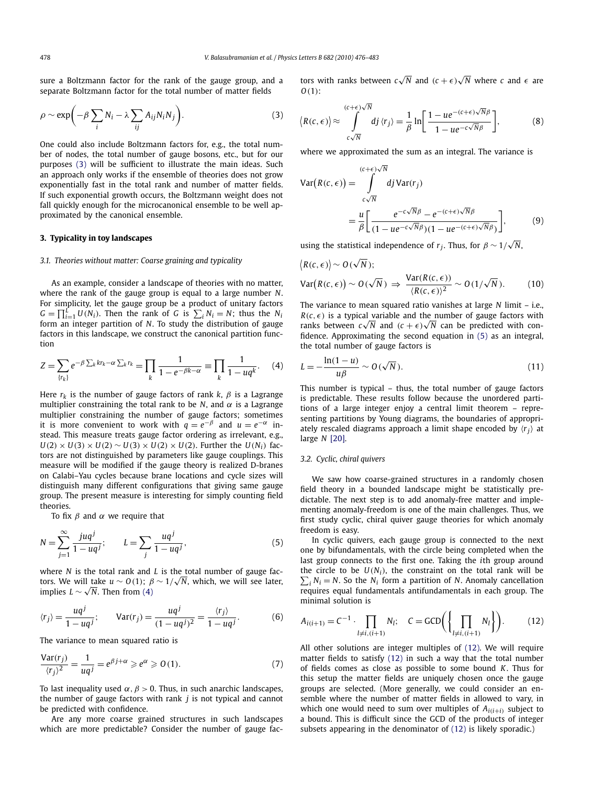<span id="page-3-0"></span>sure a Boltzmann factor for the rank of the gauge group, and a separate Boltzmann factor for the total number of matter fields

$$
\rho \sim \exp\biggl(-\beta \sum_{i} N_{i} - \lambda \sum_{ij} A_{ij} N_{i} N_{j}\biggr). \tag{3}
$$

One could also include Boltzmann factors for, e.g., the total number of nodes, the total number of gauge bosons, etc., but for our purposes (3) will be sufficient to illustrate the main ideas. Such an approach only works if the ensemble of theories does not grow exponentially fast in the total rank and number of matter fields. If such exponential growth occurs, the Boltzmann weight does not fall quickly enough for the microcanonical ensemble to be well approximated by the canonical ensemble.

### **3. Typicality in toy landscapes**

#### *3.1. Theories without matter: Coarse graining and typicality*

As an example, consider a landscape of theories with no matter, where the rank of the gauge group is equal to a large number *N*. For simplicity, let the gauge group be a product of unitary factors  $G = \prod_{i=1}^{L} U(N_i)$ . Then the rank of *G* is  $\sum_i N_i = N$ ; thus the  $N_i$ form an integer partition of *N*. To study the distribution of gauge factors in this landscape, we construct the canonical partition function

$$
Z = \sum_{\{r_k\}} e^{-\beta \sum_k kr_k - \alpha \sum_k r_k} = \prod_k \frac{1}{1 - e^{-\beta k - \alpha}} \equiv \prod_k \frac{1}{1 - uq^k}.
$$
 (4)

Here  $r_k$  is the number of gauge factors of rank  $k$ ,  $\beta$  is a Lagrange multiplier constraining the total rank to be *N*, and *α* is a Lagrange multiplier constraining the number of gauge factors; sometimes it is more convenient to work with  $q = e^{-\beta}$  and  $u = e^{-\alpha}$  instead. This measure treats gauge factor ordering as irrelevant, e.g., *U*(2) × *U*(3) × *U*(2) ∼ *U*(3) × *U*(2) × *U*(2). Further the *U*(*N<sub>i</sub>*) factors are not distinguished by parameters like gauge couplings. This measure will be modified if the gauge theory is realized D-branes on Calabi–Yau cycles because brane locations and cycle sizes will distinguish many different configurations that giving same gauge group. The present measure is interesting for simply counting field theories.

To fix *β* and *α* we require that

$$
N = \sum_{j=1}^{\infty} \frac{juq^j}{1 - uq^j}; \qquad L = \sum_{j} \frac{uq^j}{1 - uq^j},
$$
(5)

where *N* is the total rank and *L* is the total number of gauge fac- $\alpha$  are *N* is the total rank and *L* is the total number of gauge fac−<br>tors. We will take *u* ∼ *O*(1); *β* ∼ 1/√*N*, which, we will see later, implies  $L \sim \sqrt{N}$ . Then from (4)

$$
\langle r_j \rangle = \frac{uq^j}{1 - uq^j}; \qquad \text{Var}(r_j) = \frac{uq^j}{(1 - uq^j)^2} = \frac{\langle r_j \rangle}{1 - uq^j}.
$$
 (6)

The variance to mean squared ratio is

$$
\frac{\text{Var}(r_j)}{\langle r_j \rangle^2} = \frac{1}{uq^j} = e^{\beta j + \alpha} \geq e^{\alpha} \geq 0 \text{ (1).}
$$
 (7)

To last inequality used  $\alpha$ ,  $\beta$  > 0. Thus, in such anarchic landscapes, the number of gauge factors with rank *j* is not typical and cannot be predicted with confidence.

Are any more coarse grained structures in such landscapes which are more predictable? Consider the number of gauge factors with ranks between  $c\sqrt{N}$  and  $(c+\epsilon)\sqrt{N}$  where *c* and  $\epsilon$  are *O(*1*)*:

$$
\langle R(c,\epsilon) \rangle \approx \int_{c\sqrt{N}}^{(c+\epsilon)\sqrt{N}} dj \langle r_j \rangle = \frac{1}{\beta} \ln \left[ \frac{1 - ue^{-(c+\epsilon)\sqrt{N}\beta}}{1 - ue^{-c\sqrt{N}\beta}} \right],
$$
 (8)

where we approximated the sum as an integral. The variance is

$$
Var(R(c, \epsilon)) = \int_{c\sqrt{N}}^{(c+\epsilon)\sqrt{N}} dj Var(r_j)
$$
  
= 
$$
\frac{u}{\beta} \left[ \frac{e^{-c\sqrt{N}\beta} - e^{-(c+\epsilon)\sqrt{N}\beta}}{(1 - ue^{-c\sqrt{N}\beta})(1 - ue^{-(c+\epsilon)\sqrt{N}\beta})} \right],
$$
 (9)

using the statistical independence of *r<sub>j</sub>*. Thus, for  $\beta \sim 1/\sqrt{N}$ ,

$$
\langle R(c,\epsilon) \rangle \sim O(\sqrt{N});
$$
  
 
$$
Var(R(c,\epsilon)) \sim O(\sqrt{N}) \Rightarrow \frac{Var(R(c,\epsilon))}{\langle R(c,\epsilon) \rangle^2} \sim O(1/\sqrt{N}).
$$
 (10)

The variance to mean squared ratio vanishes at large *N* limit – i.e.,  $R(c, \epsilon)$  is a typical variable and the number of gauge factors with  $K(\mathcal{C}, \epsilon)$  is a typical variable and the number of gauge factors with<br>ranks between  $c\sqrt{N}$  and  $(c + \epsilon)\sqrt{N}$  can be predicted with confidence. Approximating the second equation in (5) as an integral, the total number of gauge factors is

$$
L = -\frac{\ln(1-u)}{u\beta} \sim O(\sqrt{N}).
$$
\n(11)

This number is typical – thus, the total number of gauge factors is predictable. These results follow because the unordered partitions of a large integer enjoy a central limit theorem – representing partitions by Young diagrams, the boundaries of appropriately rescaled diagrams approach a limit shape encoded by  $\langle r_i \rangle$  at large *N* [\[20\].](#page-8-0)

#### *3.2. Cyclic, chiral quivers*

We saw how coarse-grained structures in a randomly chosen field theory in a bounded landscape might be statistically predictable. The next step is to add anomaly-free matter and implementing anomaly-freedom is one of the main challenges. Thus, we first study cyclic, chiral quiver gauge theories for which anomaly freedom is easy.

In cyclic quivers, each gauge group is connected to the next one by bifundamentals, with the circle being completed when the last group connects to the first one. Taking the *i*th group around  $\sum_i N_i = N$ . So the  $N_i$  form a partition of *N*. Anomaly cancellation the circle to be  $U(N_i)$ , the constraint on the total rank will be requires equal fundamentals antifundamentals in each group. The minimal solution is

$$
A_{i(i+1)} = C^{-1} \cdot \prod_{l \neq i, (i+1)} N_l; \quad C = GCD \bigg( \bigg\{ \prod_{l \neq i, (i+1)} N_l \bigg\} \bigg). \tag{12}
$$

All other solutions are integer multiples of (12). We will require matter fields to satisfy (12) in such a way that the total number of fields comes as close as possible to some bound *K*. Thus for this setup the matter fields are uniquely chosen once the gauge groups are selected. (More generally, we could consider an ensemble where the number of matter fields in allowed to vary, in which one would need to sum over multiples of  $A_{i(i+1)}$  subject to a bound. This is difficult since the GCD of the products of integer subsets appearing in the denominator of (12) is likely sporadic.)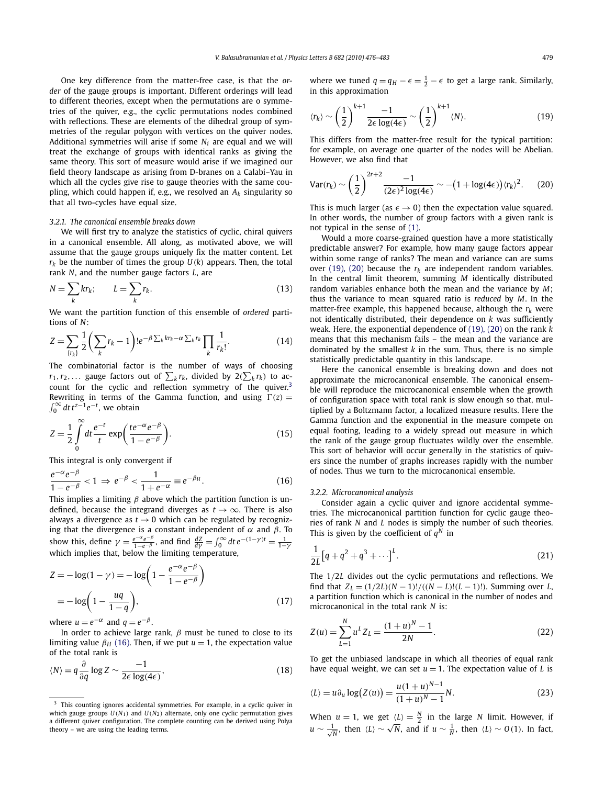One key difference from the matter-free case, is that the *order* of the gauge groups is important. Different orderings will lead to different theories, except when the permutations are o symmetries of the quiver, e.g., the cyclic permutations nodes combined with reflections. These are elements of the dihedral group of symmetries of the regular polygon with vertices on the quiver nodes. Additional symmetries will arise if some *Ni* are equal and we will treat the exchange of groups with identical ranks as giving the same theory. This sort of measure would arise if we imagined our field theory landscape as arising from D-branes on a Calabi–Yau in which all the cycles give rise to gauge theories with the same coupling, which could happen if, e.g., we resolved an *Ak* singularity so that all two-cycles have equal size.

### *3.2.1. The canonical ensemble breaks down*

We will first try to analyze the statistics of cyclic, chiral quivers in a canonical ensemble. All along, as motivated above, we will assume that the gauge groups uniquely fix the matter content. Let  $r_k$  be the number of times the group  $U(k)$  appears. Then, the total rank *N*, and the number gauge factors *L*, are

$$
N = \sum_{k} kr_{k}; \qquad L = \sum_{k} r_{k}.
$$
 (13)

We want the partition function of this ensemble of *ordered* partitions of *N*:

$$
Z = \sum_{\{r_k\}} \frac{1}{2} \left( \sum_k r_k - 1 \right)! e^{-\beta \sum_k kr_k - \alpha \sum_k r_k} \prod_k \frac{1}{r_k!}.
$$
 (14)

The combinatorial factor is the number of ways of choosing  $r_1, r_2, \ldots$  gauge factors out of  $\sum_k r_k$ , divided by  $2(\sum_k r_k)$  to account for the cyclic and reflection symmetry of the quiver.<sup>3</sup>  $\int_0^\infty dt\, t^{z-1}e^{-t}$ , we obtain Rewriting in terms of the Gamma function, and using  $\Gamma(z)$  =

$$
Z = \frac{1}{2} \int_{0}^{\infty} dt \frac{e^{-t}}{t} \exp\left(\frac{te^{-\alpha}e^{-\beta}}{1 - e^{-\beta}}\right).
$$
 (15)

This integral is only convergent if

$$
\frac{e^{-\alpha}e^{-\beta}}{1-e^{-\beta}} < 1 \Rightarrow e^{-\beta} < \frac{1}{1+e^{-\alpha}} \equiv e^{-\beta_H}.\tag{16}
$$

This implies a limiting *β* above which the partition function is undefined, because the integrand diverges as  $t \to \infty$ . There is also always a divergence as  $t \rightarrow 0$  which can be regulated by recognizing that the divergence is a constant independent of *α* and *β*. To show this, define  $\gamma = \frac{e^{-\alpha}e^{-\beta}}{1-e^{-\beta}}$ , and find  $\frac{dZ}{d\gamma} = \int_0^\infty dt \, e^{-(1-\gamma)t} = \frac{1}{1-\gamma}$ which implies that, below the limiting temperature,

$$
Z = -\log(1 - \gamma) = -\log\left(1 - \frac{e^{-\alpha}e^{-\beta}}{1 - e^{-\beta}}\right)
$$

$$
= -\log\left(1 - \frac{uq}{1 - q}\right),\tag{17}
$$

where  $u = e^{-\alpha}$  and  $q = e^{-\beta}$ .

In order to achieve large rank,  $\beta$  must be tuned to close to its limiting value  $\beta$ <sup>H</sup> (16). Then, if we put  $u = 1$ , the expectation value of the total rank is

$$
\langle N \rangle = q \frac{\partial}{\partial q} \log Z \sim \frac{-1}{2\epsilon \log(4\epsilon)},\tag{18}
$$

where we tuned  $q = q_H - \epsilon = \frac{1}{2} - \epsilon$  to get a large rank. Similarly, in this approximation

$$
\langle r_k \rangle \sim \left(\frac{1}{2}\right)^{k+1} \frac{-1}{2\epsilon \log(4\epsilon)} \sim \left(\frac{1}{2}\right)^{k+1} \langle N \rangle. \tag{19}
$$

This differs from the matter-free result for the typical partition: for example, on average one quarter of the nodes will be Abelian. However, we also find that

$$
\text{Var}(r_k) \sim \left(\frac{1}{2}\right)^{2r+2} \frac{-1}{(2\epsilon)^2 \log(4\epsilon)} \sim -(1 + \log(4\epsilon)) \langle r_k \rangle^2. \tag{20}
$$

This is much larger (as  $\epsilon \rightarrow 0$ ) then the expectation value squared. In other words, the number of group factors with a given rank is not typical in the sense of [\(1\).](#page-2-0)

Would a more coarse-grained question have a more statistically predictable answer? For example, how many gauge factors appear within some range of ranks? The mean and variance can are sums over (19), (20) because the  $r_k$  are independent random variables. In the central limit theorem, summing *M* identically distributed random variables enhance both the mean and the variance by *M*; thus the variance to mean squared ratio is *reduced* by *M*. In the matter-free example, this happened because, although the  $r_k$  were not identically distributed, their dependence on *k* was sufficiently weak. Here, the exponential dependence of (19), (20) on the rank *k* means that this mechanism fails – the mean and the variance are dominated by the smallest *k* in the sum. Thus, there is no simple statistically predictable quantity in this landscape.

Here the canonical ensemble is breaking down and does not approximate the microcanonical ensemble. The canonical ensemble will reproduce the microcanonical ensemble when the growth of configuration space with total rank is slow enough so that, multiplied by a Boltzmann factor, a localized measure results. Here the Gamma function and the exponential in the measure compete on equal footing, leading to a widely spread out measure in which the rank of the gauge group fluctuates wildly over the ensemble. This sort of behavior will occur generally in the statistics of quivers since the number of graphs increases rapidly with the number of nodes. Thus we turn to the microcanonical ensemble.

### *3.2.2. Microcanonical analysis*

Consider again a cyclic quiver and ignore accidental symmetries. The microcanonical partition function for cyclic gauge theories of rank *N* and *L* nodes is simply the number of such theories. This is given by the coefficient of *q<sup>N</sup>* in

$$
\frac{1}{2L}\left[q+q^2+q^3+\cdots\right]^L.
$$
\n(21)

The 1*/*2*L* divides out the cyclic permutations and reflections. We find that  $Z_L = (1/2L)(N - 1)!/((N - L)!(L - 1)!)$ . Summing over *L*, a partition function which is canonical in the number of nodes and microcanonical in the total rank *N* is:

$$
Z(u) = \sum_{L=1}^{N} u^L Z_L = \frac{(1+u)^N - 1}{2N}.
$$
 (22)

To get the unbiased landscape in which all theories of equal rank have equal weight, we can set  $u = 1$ . The expectation value of *L* is

$$
\langle L \rangle = u \partial_u \log(Z(u)) = \frac{u(1+u)^{N-1}}{(1+u)^N - 1} N. \tag{23}
$$

When  $u = 1$ , we get  $\langle L \rangle = \frac{N}{2}$  in the large *N* limit. However, if *u* ∼  $\frac{1}{\sqrt{N}}$ , then *(L*) ∼  $\sqrt{N}$ , and if *u* ∼  $\frac{1}{N}$ , then *(L)* ∼ *O*(1). In fact,

This counting ignores accidental symmetries. For example, in a cyclic quiver in which gauge groups  $U(N_1)$  and  $U(N_2)$  alternate, only one cyclic permutation gives a different quiver configuration. The complete counting can be derived using Polya theory – we are using the leading terms.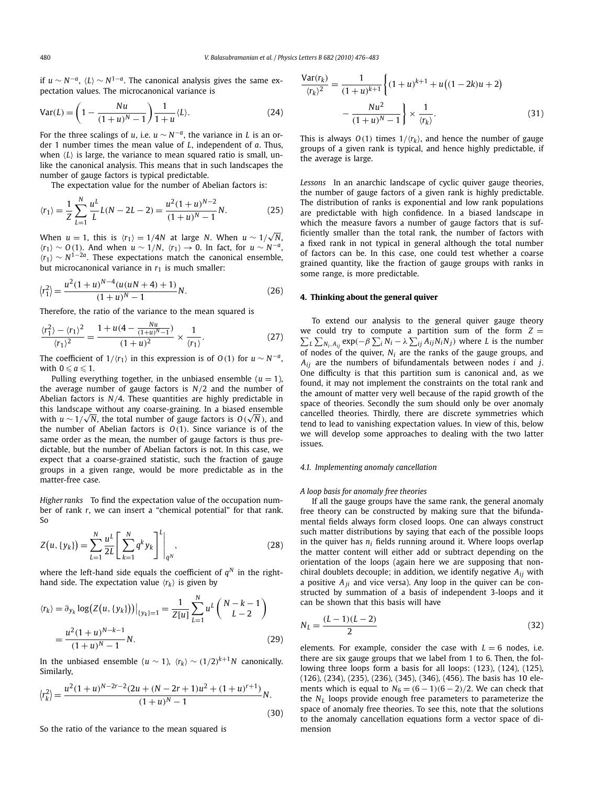<span id="page-5-0"></span>if *u* ∼ *N*<sup>−*a*</sup>,  $\langle L \rangle$  ∼ *N*<sup>1−*a*</sup>. The canonical analysis gives the same expectation values. The microcanonical variance is

$$
Var(L) = \left(1 - \frac{Nu}{(1+u)^N - 1}\right) \frac{1}{1+u} \langle L \rangle.
$$
 (24)

For the three scalings of *u*, i.e.  $u \sim N^{-a}$ , the variance in *L* is an order 1 number times the mean value of *L*, independent of *a*. Thus, when  $\langle L \rangle$  is large, the variance to mean squared ratio is small, unlike the canonical analysis. This means that in such landscapes the number of gauge factors is typical predictable.

The expectation value for the number of Abelian factors is:

$$
\langle r_1 \rangle = \frac{1}{Z} \sum_{L=1}^{N} \frac{u^L}{L} L(N - 2L - 2) = \frac{u^2 (1 + u)^{N - 2}}{(1 + u)^N - 1} N.
$$
 (25)

When *u* = 1, this is  $\langle r_1 \rangle = 1/4N$  at large *N*. When  $u \sim 1/\sqrt{N}$ ,  $\langle r_1 \rangle$  ∼ *O*(1). And when *u* ∼ 1/*N*,  $\langle r_1 \rangle$  → 0. In fact, for *u* ∼ *N*<sup>−*a*</sup>,  $\langle r_1 \rangle \sim N^{1-2a}$ . These expectations match the canonical ensemble, but microcanonical variance in  $r_1$  is much smaller:

$$
\langle r_1^2 \rangle = \frac{u^2 (1+u)^{N-4} (u(uN+4)+1)}{(1+u)^N - 1} N.
$$
 (26)

Therefore, the ratio of the variance to the mean squared is

$$
\frac{\langle r_1^2 \rangle - \langle r_1 \rangle^2}{\langle r_1 \rangle^2} = \frac{1 + u(4 - \frac{Nu}{(1+u)^N - 1})}{(1+u)^2} \times \frac{1}{\langle r_1 \rangle}.
$$
 (27)

The coefficient of  $1/(r_1)$  in this expression is of *O*(1) for  $u \sim N^{-a}$ , with  $0 \le a \le 1$ .

Pulling everything together, in the unbiased ensemble  $(u = 1)$ , the average number of gauge factors is *N/*2 and the number of Abelian factors is *N/*4. These quantities are highly predictable in this landscape without any coarse-graining. In a biased ensemble with *u* ∼ 1*/* <sup>√</sup>*N*, the total number of gauge factors is *<sup>O</sup>(* <sup>√</sup>*<sup>N</sup> )*, and the number of Abelian factors is *O(*1*)*. Since variance is of the same order as the mean, the number of gauge factors is thus predictable, but the number of Abelian factors is not. In this case, we expect that a coarse-grained statistic, such the fraction of gauge groups in a given range, would be more predictable as in the matter-free case.

*Higher ranks* To find the expectation value of the occupation number of rank *r*, we can insert a "chemical potential" for that rank. So

$$
Z(u, \{y_k\}) = \sum_{L=1}^{N} \frac{u^L}{2L} \left[ \sum_{k=1}^{N} q^k y_k \right]^L \Big|_{q^N},
$$
 (28)

where the left-hand side equals the coefficient of  $q<sup>N</sup>$  in the righthand side. The expectation value  $\langle r_k \rangle$  is given by

$$
\langle r_k \rangle = \partial_{y_k} \log \big( Z(u, \{y_k\}) \big) \big|_{\{y_k\} = 1} = \frac{1}{Z[u]} \sum_{L=1}^N u^L \binom{N - k - 1}{L - 2} = \frac{u^2 (1 + u)^{N - k - 1}}{(1 + u)^N - 1} N.
$$
\n(29)

In the unbiased ensemble ( $u \sim 1$ ),  $\langle r_k \rangle \sim (1/2)^{k+1}N$  canonically. Similarly,

$$
\langle r_k^2 \rangle = \frac{u^2 (1+u)^{N-2r-2} (2u + (N-2r+1)u^2 + (1+u)^{r+1})}{(1+u)^N - 1} N.
$$
\n(30)

So the ratio of the variance to the mean squared is

$$
\frac{\text{Var}(r_k)}{\langle r_k \rangle^2} = \frac{1}{(1+u)^{k+1}} \left\{ (1+u)^{k+1} + u \left( (1-2k)u + 2 \right) \right\}
$$

$$
- \frac{Nu^2}{(1+u)^N - 1} \right\} \times \frac{1}{\langle r_k \rangle}.
$$
(31)

This is always  $O(1)$  times  $1/(r_k)$ , and hence the number of gauge groups of a given rank is typical, and hence highly predictable, if the average is large.

*Lessons* In an anarchic landscape of cyclic quiver gauge theories, the number of gauge factors of a given rank is highly predictable. The distribution of ranks is exponential and low rank populations are predictable with high confidence. In a biased landscape in which the measure favors a number of gauge factors that is sufficiently smaller than the total rank, the number of factors with a fixed rank in not typical in general although the total number of factors can be. In this case, one could test whether a coarse grained quantity, like the fraction of gauge groups with ranks in some range, is more predictable.

#### **4. Thinking about the general quiver**

To extend our analysis to the general quiver gauge theory we could try to compute a partition sum of the form  $Z =$  $\sum_{L} \sum_{N_i, A_{ij}} \exp(-\beta \sum_{i} N_i - \lambda \sum_{ij} A_{ij} N_i N_j)$  where *L* is the number of nodes of the quiver,  $N_i$  are the ranks of the gauge groups, and *Aij* are the numbers of bifundamentals between nodes *i* and *j*. One difficulty is that this partition sum is canonical and, as we found, it may not implement the constraints on the total rank and the amount of matter very well because of the rapid growth of the space of theories. Secondly the sum should only be over anomaly cancelled theories. Thirdly, there are discrete symmetries which tend to lead to vanishing expectation values. In view of this, below we will develop some approaches to dealing with the two latter issues.

#### *4.1. Implementing anomaly cancellation*

#### *A loop basis for anomaly free theories*

If all the gauge groups have the same rank, the general anomaly free theory can be constructed by making sure that the bifundamental fields always form closed loops. One can always construct such matter distributions by saying that each of the possible loops in the quiver has *ni* fields running around it. Where loops overlap the matter content will either add or subtract depending on the orientation of the loops (again here we are supposing that nonchiral doublets decouple; in addition, we identify negative *Aij* with a positive  $A_{ii}$  and vice versa). Any loop in the quiver can be constructed by summation of a basis of independent 3-loops and it can be shown that this basis will have

$$
N_L = \frac{(L-1)(L-2)}{2}
$$
\n(32)

elements. For example, consider the case with  $L = 6$  nodes, i.e. there are six gauge groups that we label from 1 to 6. Then, the following three loops form a basis for all loops: (123), (124), (125), (126), (234), (235), (236), (345), (346), (456). The basis has 10 elements which is equal to  $N_6 = (6 - 1)(6 - 2)/2$ . We can check that the *NL* loops provide enough free parameters to parameterize the space of anomaly free theories. To see this, note that the solutions to the anomaly cancellation equations form a vector space of dimension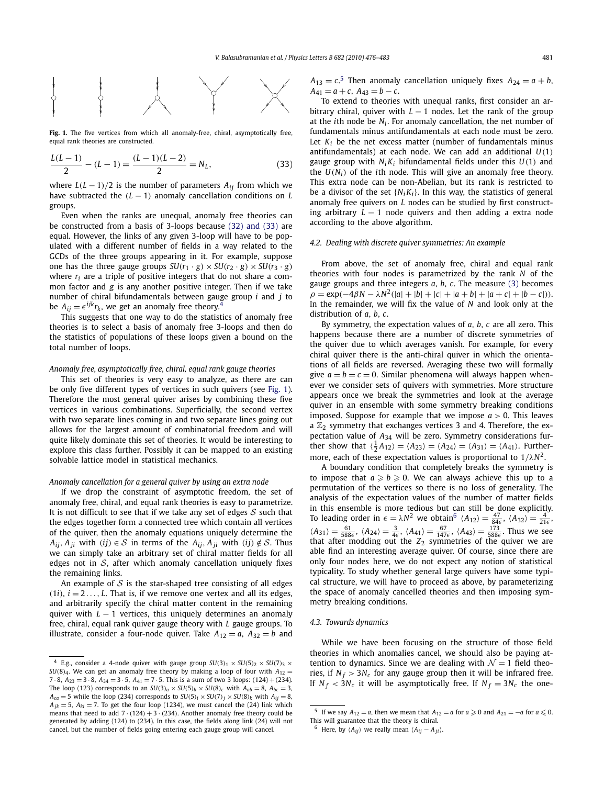<span id="page-6-0"></span>

Fig. 1. The five vertices from which all anomaly-free, chiral, asymptotically free, equal rank theories are constructed.

$$
\frac{L(L-1)}{2} - (L-1) = \frac{(L-1)(L-2)}{2} = N_L,
$$
\n(33)

where  $L(L-1)/2$  is the number of parameters  $A_{ij}$  from which we have subtracted the  $(L - 1)$  anomaly cancellation conditions on *L* groups.

Even when the ranks are unequal, anomaly free theories can be constructed from a basis of 3-loops because [\(32\) and \(33\)](#page-5-0) are equal. However, the links of any given 3-loop will have to be populated with a different number of fields in a way related to the GCDs of the three groups appearing in it. For example, suppose one has the three gauge groups  $SU(r_1 \cdot g) \times SU(r_2 \cdot g) \times SU(r_3 \cdot g)$ where  $r_i$  are a triple of positive integers that do not share a common factor and *g* is any another positive integer. Then if we take number of chiral bifundamentals between gauge group *i* and *j* to be  $A_{ij} = \epsilon^{ijk} r_k$ , we get an anomaly free theory.<sup>4</sup>

This suggests that one way to do the statistics of anomaly free theories is to select a basis of anomaly free 3-loops and then do the statistics of populations of these loops given a bound on the total number of loops.

#### *Anomaly free, asymptotically free, chiral, equal rank gauge theories*

This set of theories is very easy to analyze, as there are can be only five different types of vertices in such quivers (see Fig. 1). Therefore the most general quiver arises by combining these five vertices in various combinations. Superficially, the second vertex with two separate lines coming in and two separate lines going out allows for the largest amount of combinatorial freedom and will quite likely dominate this set of theories. It would be interesting to explore this class further. Possibly it can be mapped to an existing solvable lattice model in statistical mechanics.

#### *Anomaly cancellation for a general quiver by using an extra node*

If we drop the constraint of asymptotic freedom, the set of anomaly free, chiral, and equal rank theories is easy to parametrize. It is not difficult to see that if we take any set of edges  $S$  such that the edges together form a connected tree which contain all vertices of the quiver, then the anomaly equations uniquely determine the *A*<sub>ij</sub>, *A*<sub>ji</sub> with (*ij*) ∈ S in terms of the  $A_{ij}$ ,  $A_{ji}$  with (*ij*) ∉ S. Thus we can simply take an arbitrary set of chiral matter fields for all edges not in  $S$ , after which anomaly cancellation uniquely fixes the remaining links.

An example of  $S$  is the star-shaped tree consisting of all edges  $(1i)$ ,  $i = 2 \ldots, L$ . That is, if we remove one vertex and all its edges, and arbitrarily specify the chiral matter content in the remaining quiver with  $L - 1$  vertices, this uniquely determines an anomaly free, chiral, equal rank quiver gauge theory with *L* gauge groups. To illustrate, consider a four-node quiver. Take  $A_{12} = a$ ,  $A_{32} = b$  and

 $A_{13} = c$ .<sup>5</sup> Then anomaly cancellation uniquely fixes  $A_{24} = a + b$ ,  $A_{41} = a + c$ ,  $A_{43} = b - c$ .

To extend to theories with unequal ranks, first consider an arbitrary chiral, quiver with  $L - 1$  nodes. Let the rank of the group at the *i*th node be *Ni*. For anomaly cancellation, the net number of fundamentals minus antifundamentals at each node must be zero. Let *Ki* be the net excess matter (number of fundamentals minus antifundamentals) at each node. We can add an additional *U(*1*)* gauge group with  $N_i K_i$  bifundamental fields under this  $U(1)$  and the  $U(N_i)$  of the *i*th node. This will give an anomaly free theory. This extra node can be non-Abelian, but its rank is restricted to be a divisor of the set  $\{N_iK_i\}$ . In this way, the statistics of general anomaly free quivers on *L* nodes can be studied by first constructing arbitrary  $L - 1$  node quivers and then adding a extra node according to the above algorithm.

#### *4.2. Dealing with discrete quiver symmetries: An example*

From above, the set of anomaly free, chiral and equal rank theories with four nodes is parametrized by the rank *N* of the gauge groups and three integers *a*, *b*, *c*. The measure [\(3\)](#page-3-0) becomes  $\rho = \exp(-4\beta N - \lambda N^2(|a|+|b|+|c|+|a+b|+|a+c|+|b-c|)).$ In the remainder, we will fix the value of *N* and look only at the distribution of *a*, *b*, *c*.

By symmetry, the expectation values of *a*, *b*, *c* are all zero. This happens because there are a number of discrete symmetries of the quiver due to which averages vanish. For example, for every chiral quiver there is the anti-chiral quiver in which the orientations of all fields are reversed. Averaging these two will formally give  $a = b = c = 0$ . Similar phenomena will always happen whenever we consider sets of quivers with symmetries. More structure appears once we break the symmetries and look at the average quiver in an ensemble with some symmetry breaking conditions imposed. Suppose for example that we impose  $a > 0$ . This leaves a  $\mathbb{Z}_2$  symmetry that exchanges vertices 3 and 4. Therefore, the expectation value of *A*<sup>34</sup> will be zero. Symmetry considerations further show that  $\langle \frac{1}{2}A_{12} \rangle = \langle A_{23} \rangle = \langle A_{24} \rangle = \langle A_{31} \rangle = \langle A_{41} \rangle$ . Furthermore, each of these expectation values is proportional to  $1/\lambda N^2$ .

A boundary condition that completely breaks the symmetry is to impose that  $a \geqslant b \geqslant 0.$  We can always achieve this up to a permutation of the vertices so there is no loss of generality. The analysis of the expectation values of the number of matter fields in this ensemble is more tedious but can still be done explicitly. To leading order in  $\epsilon = \lambda N^2$  we obtain<sup>6</sup>  $\langle A_{12} \rangle = \frac{47}{84\epsilon}$ ,  $\langle A_{32} \rangle = \frac{4}{21\epsilon}$ ,  $\langle A_{31} \rangle = \frac{61}{588\epsilon}$ ,  $\langle A_{24} \rangle = \frac{3}{4\epsilon}$ ,  $\langle A_{41} \rangle = \frac{67}{147\epsilon}$ ,  $\langle A_{43} \rangle = \frac{173}{588\epsilon}$ . Thus we see that after modding out the  $Z_2$  symmetries of the quiver we are able find an interesting average quiver. Of course, since there are only four nodes here, we do not expect any notion of statistical typicality. To study whether general large quivers have some typical structure, we will have to proceed as above, by parameterizing the space of anomaly cancelled theories and then imposing symmetry breaking conditions.

#### *4.3. Towards dynamics*

While we have been focusing on the structure of those field theories in which anomalies cancel, we should also be paying attention to dynamics. Since we are dealing with  $\mathcal{N}=1$  field theories, if  $N_f > 3N_c$  for any gauge group then it will be infrared free. If  $N_f < 3N_c$  it will be asymptotically free. If  $N_f = 3N_c$  the one-

E.g., consider a 4-node quiver with gauge group  $SU(3)_1 \times SU(5)_2 \times SU(7)_3 \times$ *SU*(8)<sub>4</sub>. We can get an anomaly free theory by making a loop of four with  $A_{12}$  = 7 · 8,  $A_{23} = 3 \cdot 8$ ,  $A_{34} = 3 \cdot 5$ ,  $A_{41} = 7 \cdot 5$ . This is a sum of two 3 loops: (124) + (234). The loop (123) corresponds to an  $SU(3)_a \times SU(5)_b \times SU(8)_c$  with  $A_{ab} = 8$ ,  $A_{bc} = 3$ ,  $A_{ca} = 5$  while the loop (234) corresponds to  $SU(5)_i \times SU(7)_j \times SU(8)_k$  with  $A_{ij} = 8$ ,  $A_{jk} = 5$ ,  $A_{ki} = 7$ . To get the four loop (1234), we must cancel the (24) link which means that need to add  $7 \cdot (124) + 3 \cdot (234)$ . Another anomaly free theory could be generated by adding (124) to (234). In this case, the fields along link (24) will not cancel, but the number of fields going entering each gauge group will cancel.

<sup>&</sup>lt;sup>5</sup> If we say  $A_{12} = a$ , then we mean that  $A_{12} = a$  for  $a ≥ 0$  and  $A_{21} = -a$  for  $a ≤ 0$ . This will guarantee that the theory is chiral.

<sup>&</sup>lt;sup>6</sup> Here, by  $\langle A_{ij} \rangle$  we really mean  $\langle A_{ij} - A_{ji} \rangle$ .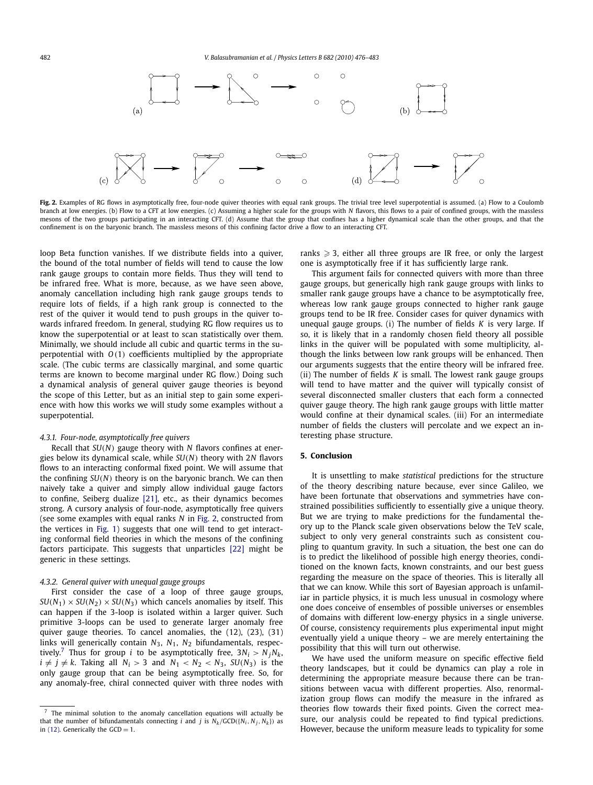

Fig. 2. Examples of RG flows in asymptotically free, four-node quiver theories with equal rank groups. The trivial tree level superpotential is assumed. (a) Flow to a Coulomb branch at low energies. (b) Flow to a CFT at low energies. (c) Assuming a higher scale for the groups with *N* flavors, this flows to a pair of confined groups, with the massless mesons of the two groups participating in an interacting CFT. (d) Assume that the group that confines has a higher dynamical scale than the other groups, and that the confinement is on the baryonic branch. The massless mesons of this confining factor drive a flow to an interacting CFT.

loop Beta function vanishes. If we distribute fields into a quiver, the bound of the total number of fields will tend to cause the low rank gauge groups to contain more fields. Thus they will tend to be infrared free. What is more, because, as we have seen above, anomaly cancellation including high rank gauge groups tends to require lots of fields, if a high rank group is connected to the rest of the quiver it would tend to push groups in the quiver towards infrared freedom. In general, studying RG flow requires us to know the superpotential or at least to scan statistically over them. Minimally, we should include all cubic and quartic terms in the superpotential with *O(*1*)* coefficients multiplied by the appropriate scale. (The cubic terms are classically marginal, and some quartic terms are known to become marginal under RG flow.) Doing such a dynamical analysis of general quiver gauge theories is beyond the scope of this Letter, but as an initial step to gain some experience with how this works we will study some examples without a superpotential.

#### *4.3.1. Four-node, asymptotically free quivers*

Recall that *SU(N)* gauge theory with *N* flavors confines at energies below its dynamical scale, while *SU(N)* theory with 2*N* flavors flows to an interacting conformal fixed point. We will assume that the confining *SU(N)* theory is on the baryonic branch. We can then naively take a quiver and simply allow individual gauge factors to confine, Seiberg dualize [\[21\],](#page-8-0) etc., as their dynamics becomes strong. A cursory analysis of four-node, asymptotically free quivers (see some examples with equal ranks *N* in Fig. 2, constructed from the vertices in [Fig. 1\)](#page-6-0) suggests that one will tend to get interacting conformal field theories in which the mesons of the confining factors participate. This suggests that unparticles [\[22\]](#page-8-0) might be generic in these settings.

#### *4.3.2. General quiver with unequal gauge groups*

First consider the case of a loop of three gauge groups,  $SU(N_1) \times SU(N_2) \times SU(N_3)$  which cancels anomalies by itself. This can happen if the 3-loop is isolated within a larger quiver. Such primitive 3-loops can be used to generate larger anomaly free quiver gauge theories. To cancel anomalies, the (12), (23), (31) links will generically contain *N*3, *N*1, *N*<sup>2</sup> bifundamentals, respectively.<sup>7</sup> Thus for group *i* to be asymptotically free,  $3N_i > N_j N_k$ ,  $i \neq j \neq k$ . Taking all  $N_i > 3$  and  $N_1 < N_2 < N_3$ ,  $SU(N_3)$  is the only gauge group that can be being asymptotically free. So, for any anomaly-free, chiral connected quiver with three nodes with ranks  $\geqslant$  3, either all three groups are IR free, or only the largest one is asymptotically free if it has sufficiently large rank.

This argument fails for connected quivers with more than three gauge groups, but generically high rank gauge groups with links to smaller rank gauge groups have a chance to be asymptotically free, whereas low rank gauge groups connected to higher rank gauge groups tend to be IR free. Consider cases for quiver dynamics with unequal gauge groups. (i) The number of fields *K* is very large. If so, it is likely that in a randomly chosen field theory all possible links in the quiver will be populated with some multiplicity, although the links between low rank groups will be enhanced. Then our arguments suggests that the entire theory will be infrared free. (ii) The number of fields *K* is small. The lowest rank gauge groups will tend to have matter and the quiver will typically consist of several disconnected smaller clusters that each form a connected quiver gauge theory. The high rank gauge groups with little matter would confine at their dynamical scales. (iii) For an intermediate number of fields the clusters will percolate and we expect an interesting phase structure.

#### **5. Conclusion**

It is unsettling to make *statistical* predictions for the structure of the theory describing nature because, ever since Galileo, we have been fortunate that observations and symmetries have constrained possibilities sufficiently to essentially give a unique theory. But we are trying to make predictions for the fundamental theory up to the Planck scale given observations below the TeV scale, subject to only very general constraints such as consistent coupling to quantum gravity. In such a situation, the best one can do is to predict the likelihood of possible high energy theories, conditioned on the known facts, known constraints, and our best guess regarding the measure on the space of theories. This is literally all that we can know. While this sort of Bayesian approach is unfamiliar in particle physics, it is much less unusual in cosmology where one does conceive of ensembles of possible universes or ensembles of domains with different low-energy physics in a single universe. Of course, consistency requirements plus experimental input might eventually yield a unique theory – we are merely entertaining the possibility that this will turn out otherwise.

We have used the uniform measure on specific effective field theory landscapes, but it could be dynamics can play a role in determining the appropriate measure because there can be transitions between vacua with different properties. Also, renormalization group flows can modify the measure in the infrared as theories flow towards their fixed points. Given the correct measure, our analysis could be repeated to find typical predictions. However, because the uniform measure leads to typicality for some

 $7$  The minimal solution to the anomaly cancellation equations will actually be that the number of bifundamentals connecting *i* and *j* is  $N_k/\text{GCD}(\lbrace N_i, N_j, N_k \rbrace)$  as in [\(12\).](#page-3-0) Generically the  $GCD = 1$ .